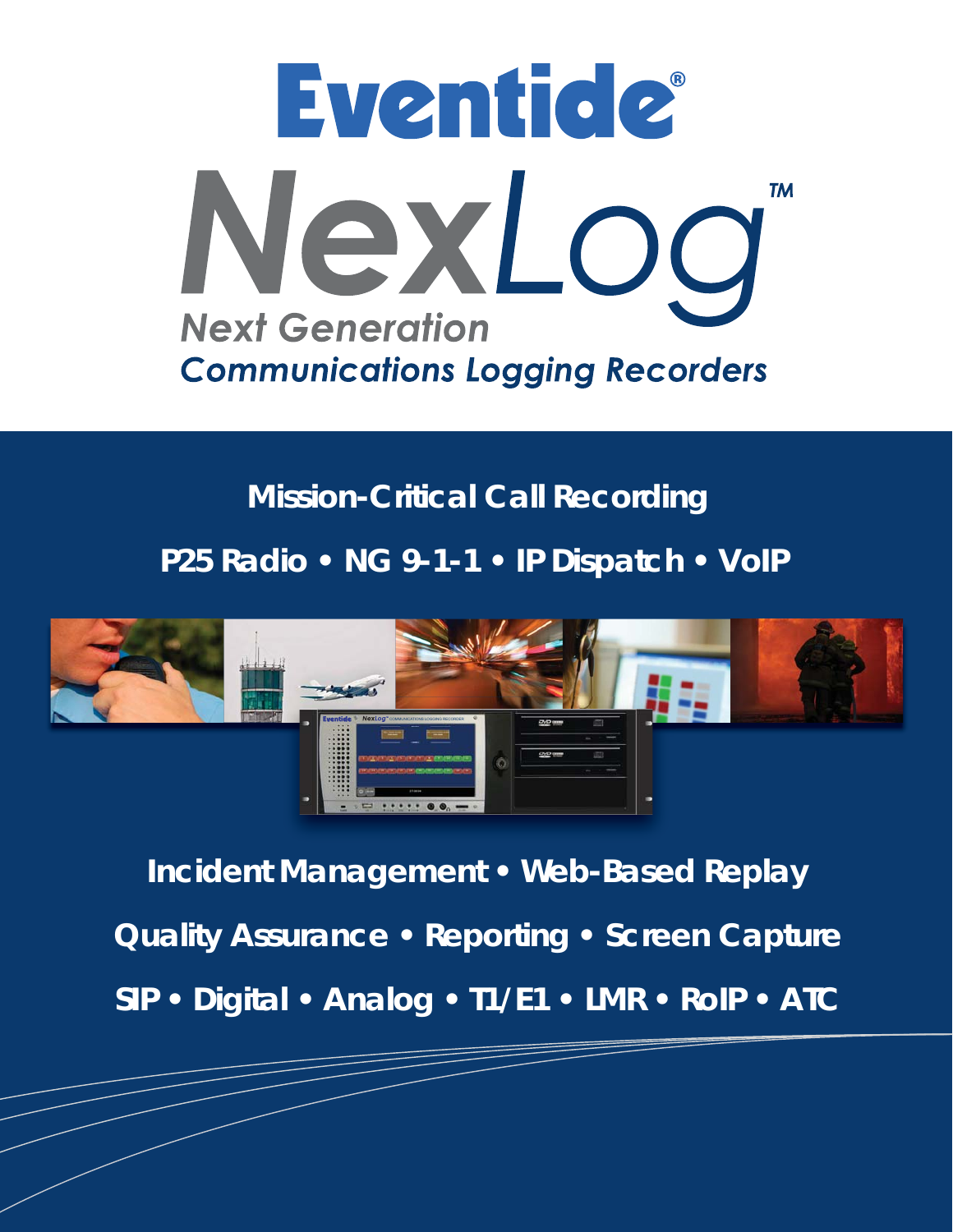

# **Mission-Critical Call Recording**

**P25 Radio • NG 9-1-1 • IP Dispatch • VoIP** 



**Incident Management • Web-Based Replay Quality Assurance • Reporting • Screen Capture SIP • Digital • Analog • T1/E1 • LMR • RoIP • ATC**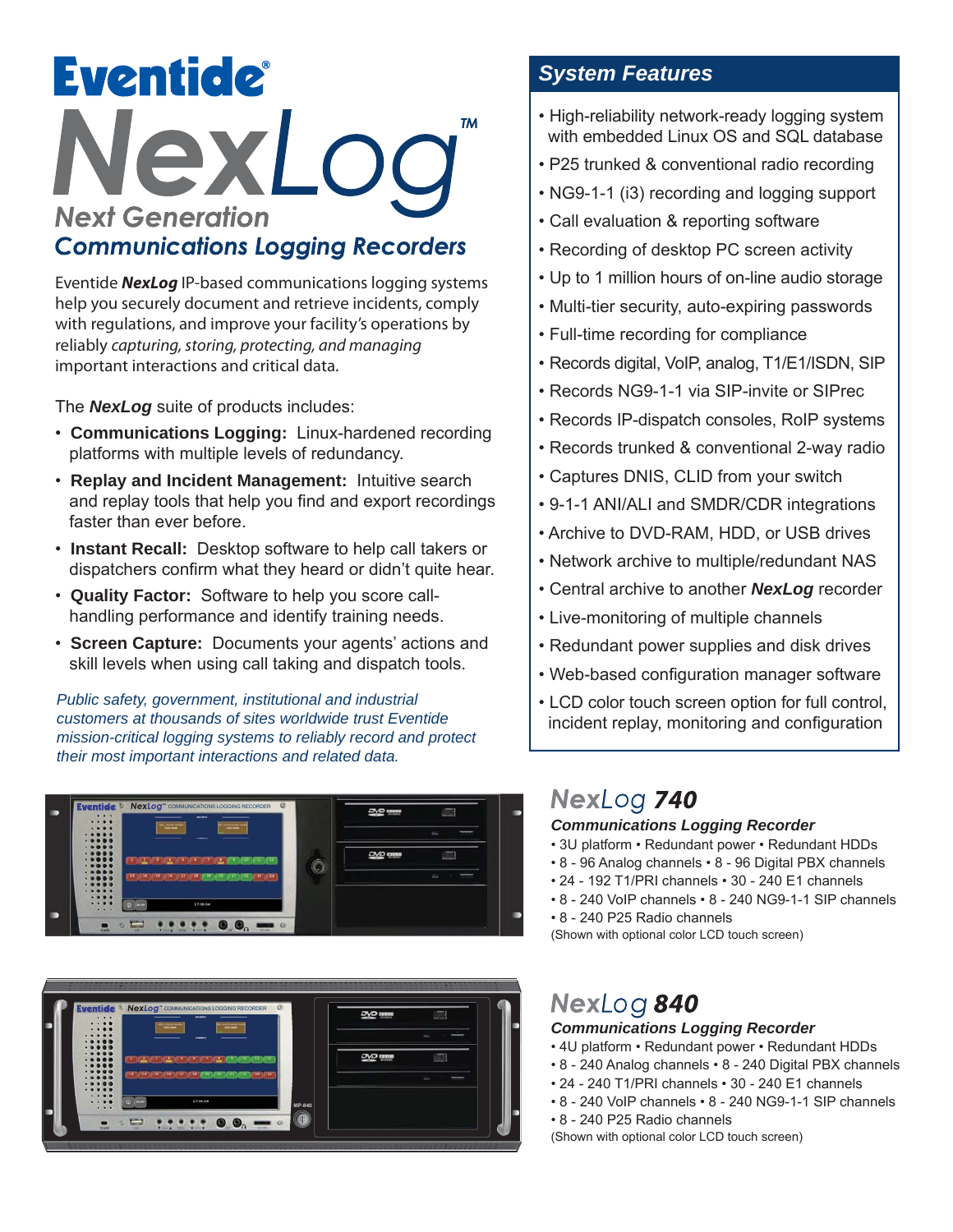# **Eventide** NexLoc **TM Next Generation Communications Logging Recorders**

Eventide *NexLog* IP-based communications logging systems help you securely document and retrieve incidents, comply with regulations, and improve your facility's operations by reliably *capturing, storing, protecting, and managing* important interactions and critical data.

The *NexLog* suite of products includes:

- **Communications Logging:** Linux-hardened recording platforms with multiple levels of redundancy.
- **Replay and Incident Management:** Intuitive search and replay tools that help you find and export recordings faster than ever before.
- **Instant Recall:** Desktop software to help call takers or dispatchers confirm what they heard or didn't quite hear.
- **Quality Factor:** Software to help you score call handling performance and identify training needs.
- **Screen Capture:** Documents your agents' actions and skill levels when using call taking and dispatch tools.

*Public safety, government, institutional and industrial customers at thousands of sites worldwide trust Eventide mission-critical logging systems to reliably record and protect their most important interactions and related data.*





#### *System Features*

- High-reliability network-ready logging system with embedded Linux OS and SQL database
- P25 trunked & conventional radio recording
- NG9-1-1 (i3) recording and logging support
- Call evaluation & reporting software
- Recording of desktop PC screen activity
- Up to 1 million hours of on-line audio storage
- Multi-tier security, auto-expiring passwords
- Full-time recording for compliance
- Records digital, VoIP, analog, T1/E1/ISDN, SIP
- Records NG9-1-1 via SIP-invite or SIPrec
- Records IP-dispatch consoles, RoIP systems
- Records trunked & conventional 2-way radio
- Captures DNIS, CLID from your switch
- 9-1-1 ANI/ALI and SMDR/CDR integrations
- Archive to DVD-RAM, HDD, or USB drives
- Network archive to multiple/redundant NAS
- Central archive to another *NexLog* recorder
- Live-monitoring of multiple channels
- Redundant power supplies and disk drives
- Web-based configuration manager software
- LCD color touch screen option for full control, incident replay, monitoring and configuration

## NexLog 740

#### *Communications Logging Recorder*

- 3U platform Redundant power Redundant HDDs
- 8 96 Analog channels 8 96 Digital PBX channels
- 24 192 T1/PRI channels 30 240 E1 channels
- 8 240 VoIP channels 8 240 NG9-1-1 SIP channels
- 8 240 P25 Radio channels

(Shown with optional color LCD touch screen)

### NexLog 840

#### *Communications Logging Recorder*

- 4U platform Redundant power Redundant HDDs
- 8 240 Analog channels 8 240 Digital PBX channels
- 24 240 T1/PRI channels 30 240 E1 channels
- 8 240 VoIP channels 8 240 NG9-1-1 SIP channels
- 8 240 P25 Radio channels
- (Shown with optional color LCD touch screen)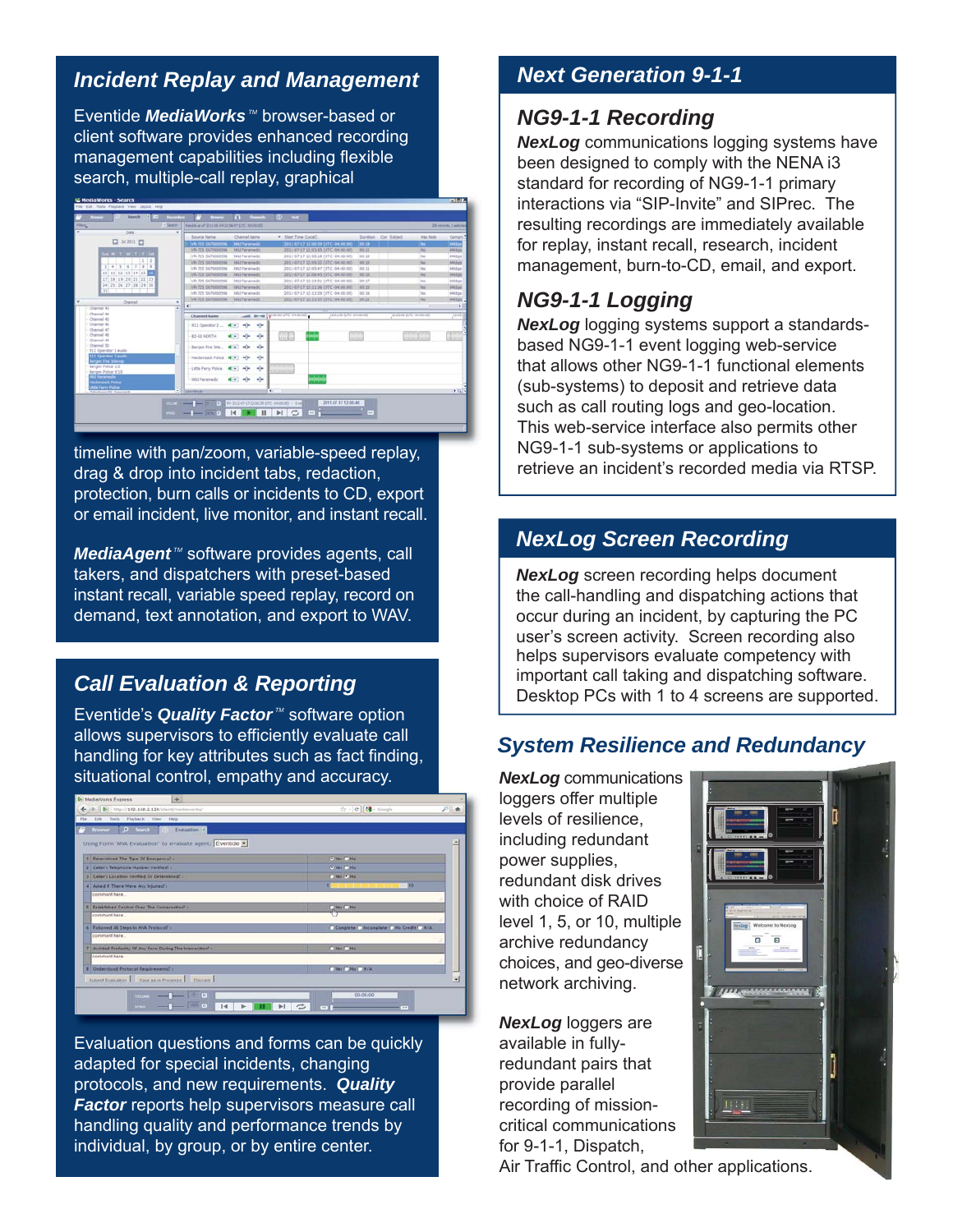#### *Incident Replay and Management*

Eventide *MediaWorks*<sup>™</sup> browser-based or client software provides enhanced recording management capabilities including flexible search, multiple-call replay, graphical



timeline with pan/zoom, variable-speed replay, drag & drop into incident tabs, redaction, protection, burn calls or incidents to CD, export or email incident, live monitor, and instant recall.

*MediaAgent*<sup>™</sup> software provides agents, call takers, and dispatchers with preset-based instant recall, variable speed replay, record on demand, text annotation, and export to WAV.

#### *Call Evaluation & Reporting*

Eventide's **Quality Factor**<sup>™</sup> software option allows supervisors to efficiently evaluate call handling for key attributes such as fact finding, situational control, empathy and accuracy.

|              | <b>B.</b> MediaWorks Express<br>$+1$                               |                                                                   |           |
|--------------|--------------------------------------------------------------------|-------------------------------------------------------------------|-----------|
| $\leftarrow$ | -0   B   km2://192.168.2.128/client/mediaworks/                    | 승 - C de - Gnogle                                                 | 戶盘        |
| Film.        | <b>Git Tools Playback View Help</b>                                |                                                                   |           |
| F.           | D Seath (C) bell-kinn of<br><b>Reporter</b>                        |                                                                   |           |
|              | Using Form "MW Evaluation" to evaluate agent: Eventide             |                                                                   | Δ         |
|              |                                                                    |                                                                   |           |
|              | Determined The Tipe Of Energency? :                                | <b>CONTRACTOR</b>                                                 |           |
|              | Caller's Telephone Number Verified: :                              | <b>College College</b>                                            |           |
|              | Callery Location Verified Or Determined's                          | <b>Cities F. No.</b>                                              |           |
|              | Asked if There Were Any Injuries! :                                | iss-                                                              |           |
|              | comment here.                                                      |                                                                   |           |
|              | Established Control Over The Comersation":                         | $\frac{1}{\sqrt{2}}$ (Mg $\sqrt{2}$ Mg                            |           |
|              | comment here                                                       |                                                                   |           |
|              | Followed All Steps to MVA Protocal? (                              | C. Complete C. Incomplete C. No Credit C. N/A                     |           |
|              | comment here.                                                      |                                                                   |           |
|              | Austated Profactity Of Any Form During The Interaction? :          | Cities Cittée                                                     |           |
|              | comment here                                                       |                                                                   |           |
|              | Understood Protecul Requirements? /                                | C We'll No. 1, N/A                                                |           |
|              | Submit Evaluation 1 Save as in Programs 1 Discard                  |                                                                   | $\bullet$ |
|              | <b>COLOR</b><br><b>VIOLEN</b><br>m<br>$\mathbb{R}$<br><b>SPITE</b> | 00.00.00<br>c<br>$\blacktriangleright$ l<br>$\rightarrow$<br>$-1$ |           |

Evaluation questions and forms can be quickly adapted for special incidents, changing protocols, and new requirements. *Quality Factor* reports help supervisors measure call handling quality and performance trends by individual, by group, or by entire center.

#### *Next Generation 9-1-1*

#### *NG9-1-1 Recording*

*NexLog* communications logging systems have been designed to comply with the NENA i3 standard for recording of NG9-1-1 primary interactions via "SIP-Invite" and SIPrec. The resulting recordings are immediately available for replay, instant recall, research, incident management, burn-to-CD, email, and export.

#### *NG9-1-1 Logging*

*NexLog* logging systems support a standardsbased NG9-1-1 event logging web-service that allows other NG9-1-1 functional elements (sub-systems) to deposit and retrieve data such as call routing logs and geo-location. This web-service interface also permits other NG9-1-1 sub-systems or applications to retrieve an incident's recorded media via RTSP.

#### *NexLog Screen Recording*

*NexLog* screen recording helps document the call-handling and dispatching actions that occur during an incident, by capturing the PC user's screen activity. Screen recording also helps supervisors evaluate competency with important call taking and dispatching software. Desktop PCs with 1 to 4 screens are supported.

#### *System Resilience and Redundancy*

*NexLog* communications loggers offer multiple levels of resilience, including redundant power supplies, redundant disk drives with choice of RAID level 1, 5, or 10, multiple archive redundancy choices, and geo-diverse network archiving.

*NexLog* loggers are available in fullyredundant pairs that provide parallel recording of missioncritical communications for 9-1-1, Dispatch,



Air Traffic Control, and other applications.